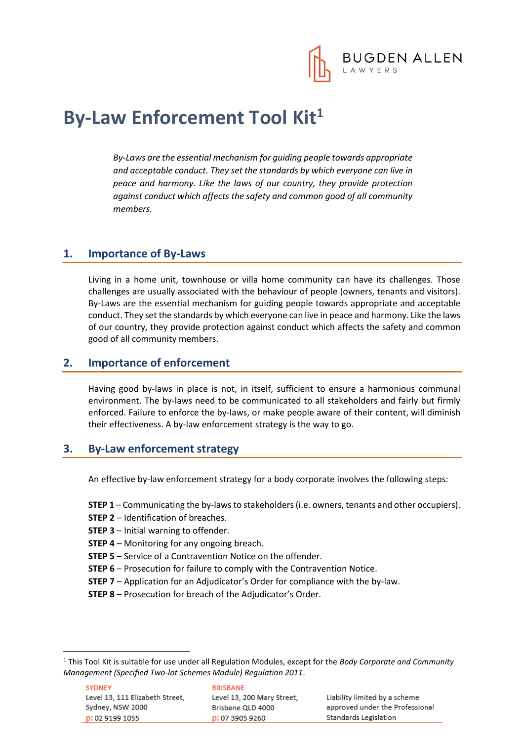

# **By-Law Enforcement Tool Kit<sup>1</sup>**

*By-Laws are the essential mechanism for guiding people towards appropriate and acceptable conduct. They set the standards by which everyone can live in peace and harmony. Like the laws of our country, they provide protection against conduct which affects the safety and common good of all community members.* 

#### **1. Importance of By-Laws**

Living in a home unit, townhouse or villa home community can have its challenges. Those challenges are usually associated with the behaviour of people (owners, tenants and visitors). By-Laws are the essential mechanism for guiding people towards appropriate and acceptable conduct. They set the standards by which everyone can live in peace and harmony. Like the laws of our country, they provide protection against conduct which affects the safety and common good of all community members.

#### **2. Importance of enforcement**

Having good by-laws in place is not, in itself, sufficient to ensure a harmonious communal environment. The by-laws need to be communicated to all stakeholders and fairly but firmly enforced. Failure to enforce the by-laws, or make people aware of their content, will diminish their effectiveness. A by-law enforcement strategy is the way to go.

#### **3. By-Law enforcement strategy**

An effective by-law enforcement strategy for a body corporate involves the following steps:

**STEP 1** – Communicating the by-laws to stakeholders (i.e. owners, tenants and other occupiers).

- **STEP 2** Identification of breaches.
- **STEP 3**  Initial warning to offender.
- **STEP 4** Monitoring for any ongoing breach.
- **STEP 5** Service of a Contravention Notice on the offender.
- **STEP 6** Prosecution for failure to comply with the Contravention Notice.
- **STEP 7** Application for an Adjudicator's Order for compliance with the by-law.
- **STEP 8** Prosecution for breach of the Adjudicator's Order.

1

<sup>1</sup> This Tool Kit is suitable for use under all Regulation Modules, except for the *Body Corporate and Community Management (Specified Two-lot Schemes Module) Regulation 2011*.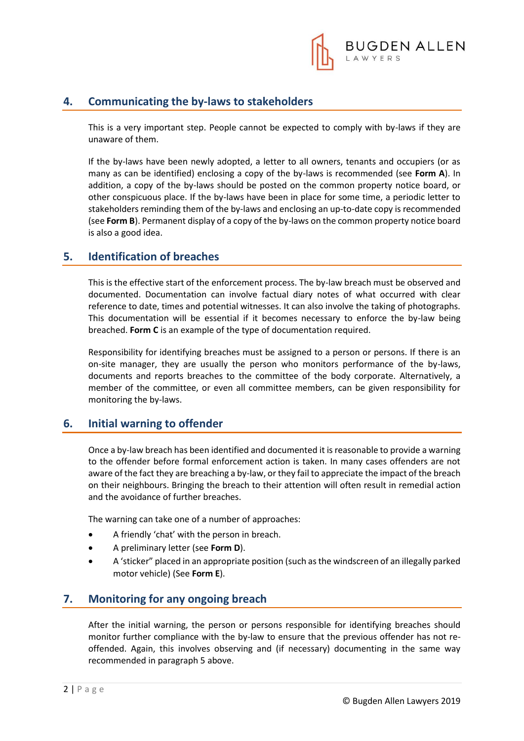

#### **4. Communicating the by-laws to stakeholders**

This is a very important step. People cannot be expected to comply with by-laws if they are unaware of them.

If the by-laws have been newly adopted, a letter to all owners, tenants and occupiers (or as many as can be identified) enclosing a copy of the by-laws is recommended (see **Form A**). In addition, a copy of the by-laws should be posted on the common property notice board, or other conspicuous place. If the by-laws have been in place for some time, a periodic letter to stakeholders reminding them of the by-laws and enclosing an up-to-date copy is recommended (see **Form B**). Permanent display of a copy of the by-laws on the common property notice board is also a good idea.

#### **5. Identification of breaches**

This is the effective start of the enforcement process. The by-law breach must be observed and documented. Documentation can involve factual diary notes of what occurred with clear reference to date, times and potential witnesses. It can also involve the taking of photographs. This documentation will be essential if it becomes necessary to enforce the by-law being breached. **Form C** is an example of the type of documentation required.

Responsibility for identifying breaches must be assigned to a person or persons. If there is an on-site manager, they are usually the person who monitors performance of the by-laws, documents and reports breaches to the committee of the body corporate. Alternatively, a member of the committee, or even all committee members, can be given responsibility for monitoring the by-laws.

#### **6. Initial warning to offender**

Once a by-law breach has been identified and documented it is reasonable to provide a warning to the offender before formal enforcement action is taken. In many cases offenders are not aware of the fact they are breaching a by-law, or they fail to appreciate the impact of the breach on their neighbours. Bringing the breach to their attention will often result in remedial action and the avoidance of further breaches.

The warning can take one of a number of approaches:

- A friendly 'chat' with the person in breach.
- A preliminary letter (see **Form D**).
- A 'sticker" placed in an appropriate position (such as the windscreen of an illegally parked motor vehicle) (See **Form E**).

#### **7. Monitoring for any ongoing breach**

After the initial warning, the person or persons responsible for identifying breaches should monitor further compliance with the by-law to ensure that the previous offender has not reoffended. Again, this involves observing and (if necessary) documenting in the same way recommended in paragraph 5 above.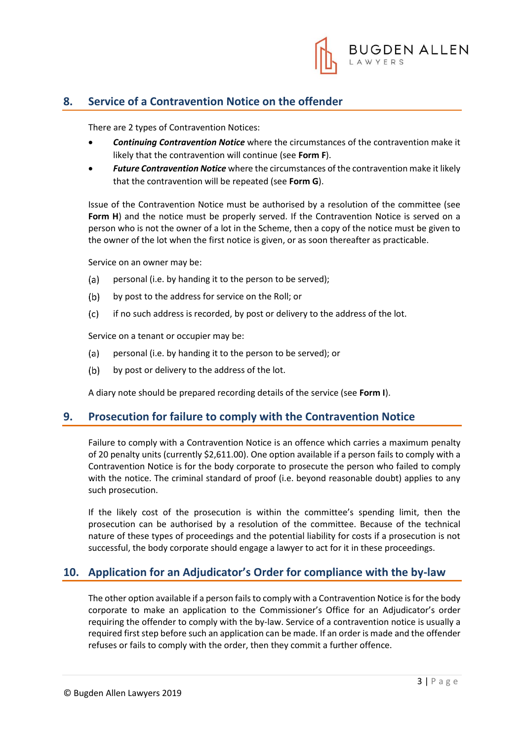

### **8. Service of a Contravention Notice on the offender**

There are 2 types of Contravention Notices:

- *Continuing Contravention Notice* where the circumstances of the contravention make it likely that the contravention will continue (see **Form F**).
- *Future Contravention Notice* where the circumstances of the contravention make it likely that the contravention will be repeated (see **Form G**).

Issue of the Contravention Notice must be authorised by a resolution of the committee (see Form H) and the notice must be properly served. If the Contravention Notice is served on a person who is not the owner of a lot in the Scheme, then a copy of the notice must be given to the owner of the lot when the first notice is given, or as soon thereafter as practicable.

Service on an owner may be:

- (a) personal (i.e. by handing it to the person to be served);
- $(b)$ by post to the address for service on the Roll; or
- $(c)$ if no such address is recorded, by post or delivery to the address of the lot.

Service on a tenant or occupier may be:

- (a) personal (i.e. by handing it to the person to be served); or
- $(b)$ by post or delivery to the address of the lot.

A diary note should be prepared recording details of the service (see **Form I**).

#### **9. Prosecution for failure to comply with the Contravention Notice**

Failure to comply with a Contravention Notice is an offence which carries a maximum penalty of 20 penalty units (currently \$2,611.00). One option available if a person fails to comply with a Contravention Notice is for the body corporate to prosecute the person who failed to comply with the notice. The criminal standard of proof (i.e. beyond reasonable doubt) applies to any such prosecution.

If the likely cost of the prosecution is within the committee's spending limit, then the prosecution can be authorised by a resolution of the committee. Because of the technical nature of these types of proceedings and the potential liability for costs if a prosecution is not successful, the body corporate should engage a lawyer to act for it in these proceedings.

#### **10. Application for an Adjudicator's Order for compliance with the by-law**

The other option available if a person fails to comply with a Contravention Notice is for the body corporate to make an application to the Commissioner's Office for an Adjudicator's order requiring the offender to comply with the by-law. Service of a contravention notice is usually a required first step before such an application can be made. If an order is made and the offender refuses or fails to comply with the order, then they commit a further offence.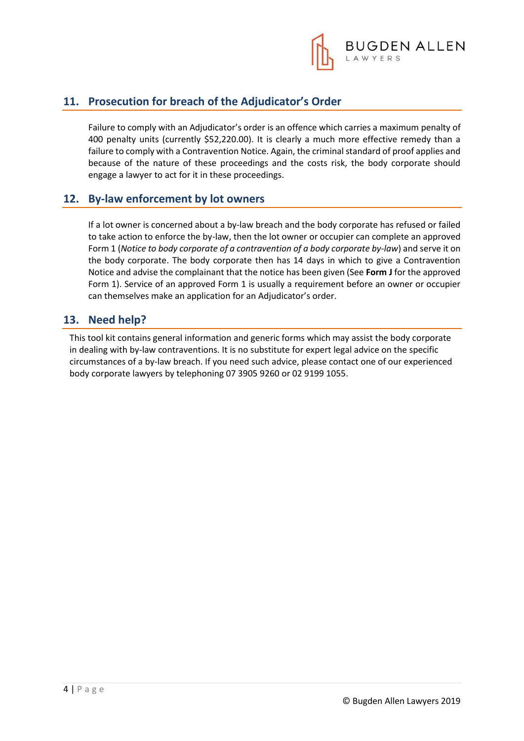

### **11. Prosecution for breach of the Adjudicator's Order**

Failure to comply with an Adjudicator's order is an offence which carries a maximum penalty of 400 penalty units (currently \$52,220.00). It is clearly a much more effective remedy than a failure to comply with a Contravention Notice. Again, the criminal standard of proof applies and because of the nature of these proceedings and the costs risk, the body corporate should engage a lawyer to act for it in these proceedings.

### **12. By-law enforcement by lot owners**

If a lot owner is concerned about a by-law breach and the body corporate has refused or failed to take action to enforce the by-law, then the lot owner or occupier can complete an approved Form 1 (*Notice to body corporate of a contravention of a body corporate by-law*) and serve it on the body corporate. The body corporate then has 14 days in which to give a Contravention Notice and advise the complainant that the notice has been given (See **Form J** for the approved Form 1). Service of an approved Form 1 is usually a requirement before an owner or occupier can themselves make an application for an Adjudicator's order.

### **13. Need help?**

This tool kit contains general information and generic forms which may assist the body corporate in dealing with by-law contraventions. It is no substitute for expert legal advice on the specific circumstances of a by-law breach. If you need such advice, please contact one of our experienced body corporate lawyers by telephoning 07 3905 9260 or 02 9199 1055.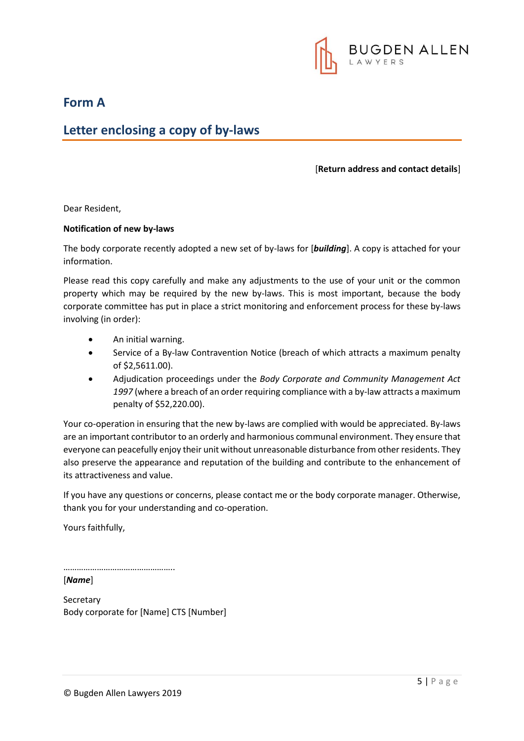

**Form A**

### **Letter enclosing a copy of by-laws**

#### [**Return address and contact details**]

Dear Resident,

#### **Notification of new by-laws**

The body corporate recently adopted a new set of by-laws for [*building*]. A copy is attached for your information.

Please read this copy carefully and make any adjustments to the use of your unit or the common property which may be required by the new by-laws. This is most important, because the body corporate committee has put in place a strict monitoring and enforcement process for these by-laws involving (in order):

- An initial warning.
- Service of a By-law Contravention Notice (breach of which attracts a maximum penalty of \$2,5611.00).
- Adjudication proceedings under the *Body Corporate and Community Management Act 1997* (where a breach of an order requiring compliance with a by-law attracts a maximum penalty of \$52,220.00).

Your co-operation in ensuring that the new by-laws are complied with would be appreciated. By-laws are an important contributor to an orderly and harmonious communal environment. They ensure that everyone can peacefully enjoy their unit without unreasonable disturbance from other residents. They also preserve the appearance and reputation of the building and contribute to the enhancement of its attractiveness and value.

If you have any questions or concerns, please contact me or the body corporate manager. Otherwise, thank you for your understanding and co-operation.

Yours faithfully,

……………………………………………

[*Name*]

Secretary Body corporate for [Name] CTS [Number]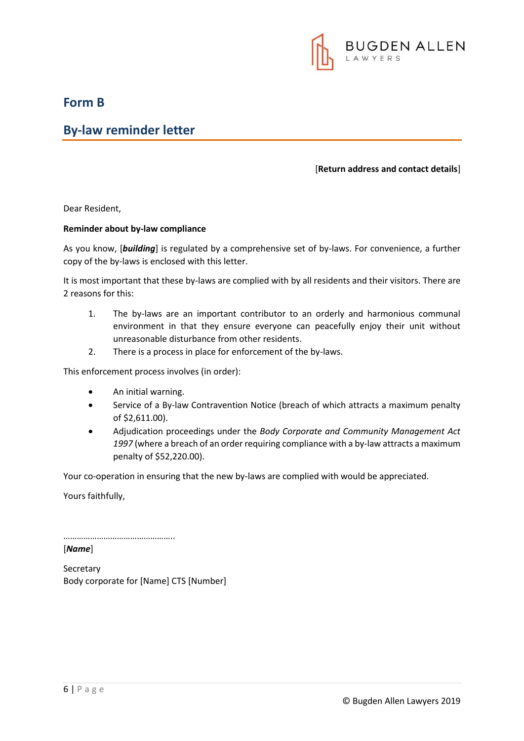

### **Form B**

### **By-law reminder letter**

#### [**Return address and contact details**]

Dear Resident,

#### **Reminder about by-law compliance**

As you know, [*building*] is regulated by a comprehensive set of by-laws. For convenience, a further copy of the by-laws is enclosed with this letter.

It is most important that these by-laws are complied with by all residents and their visitors. There are 2 reasons for this:

- 1. The by-laws are an important contributor to an orderly and harmonious communal environment in that they ensure everyone can peacefully enjoy their unit without unreasonable disturbance from other residents.
- 2. There is a process in place for enforcement of the by-laws.

This enforcement process involves (in order):

- An initial warning.
- Service of a By-law Contravention Notice (breach of which attracts a maximum penalty of \$2,611.00).
- Adjudication proceedings under the *Body Corporate and Community Management Act 1997* (where a breach of an order requiring compliance with a by-law attracts a maximum penalty of \$52,220.00).

Your co-operation in ensuring that the new by-laws are complied with would be appreciated.

Yours faithfully,

…………………………………………..

[*Name*]

Secretary Body corporate for [Name] CTS [Number]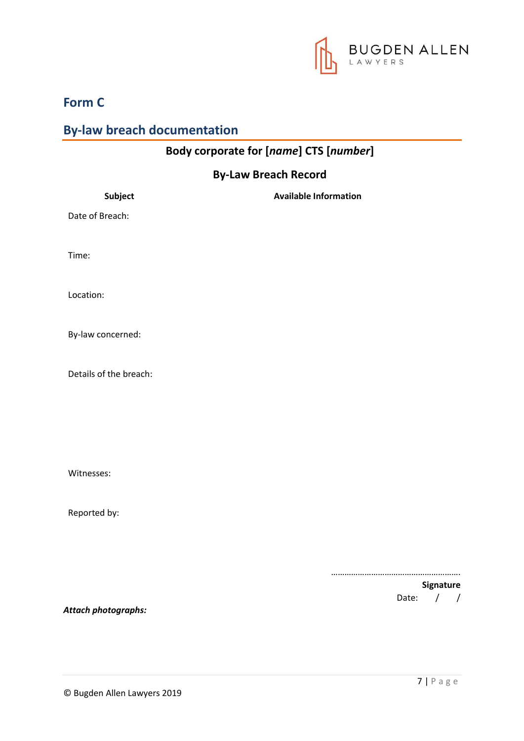

### **Form C**

### **By-law breach documentation**

## **Body corporate for [***name***] CTS [***number***]**

### **By-Law Breach Record**

| Subject                | <b>Available Information</b>      |
|------------------------|-----------------------------------|
| Date of Breach:        |                                   |
| Time:                  |                                   |
| Location:              |                                   |
| By-law concerned:      |                                   |
| Details of the breach: |                                   |
|                        |                                   |
|                        |                                   |
| Witnesses:             |                                   |
| Reported by:           |                                   |
|                        | .                                 |
|                        | Signature                         |
| Attach photographs:    | $\sqrt{ }$<br>Date:<br>$\sqrt{ }$ |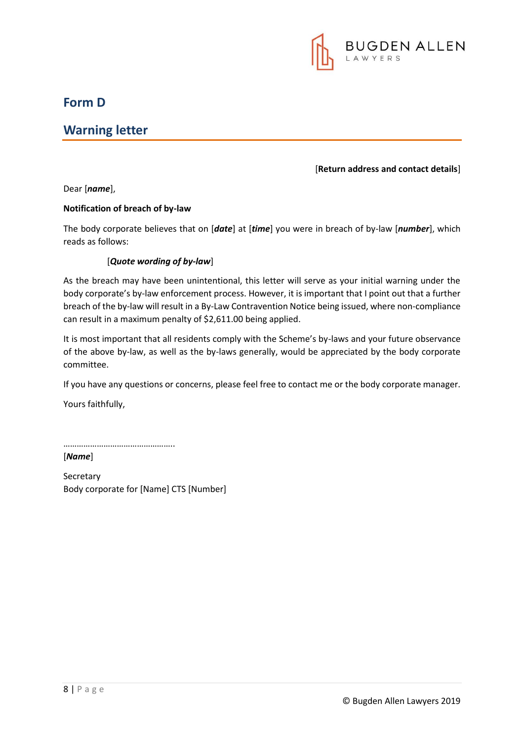

### **Form D**

### **Warning letter**

#### [**Return address and contact details**]

Dear [*name*],

#### **Notification of breach of by-law**

The body corporate believes that on [*date*] at [*time*] you were in breach of by-law [*number*], which reads as follows:

#### [*Quote wording of by-law*]

As the breach may have been unintentional, this letter will serve as your initial warning under the body corporate's by-law enforcement process. However, it is important that I point out that a further breach of the by-law will result in a By-Law Contravention Notice being issued, where non-compliance can result in a maximum penalty of \$2,611.00 being applied.

It is most important that all residents comply with the Scheme's by-laws and your future observance of the above by-law, as well as the by-laws generally, would be appreciated by the body corporate committee.

If you have any questions or concerns, please feel free to contact me or the body corporate manager.

Yours faithfully,

……………………………………………

[*Name*]

Secretary Body corporate for [Name] CTS [Number]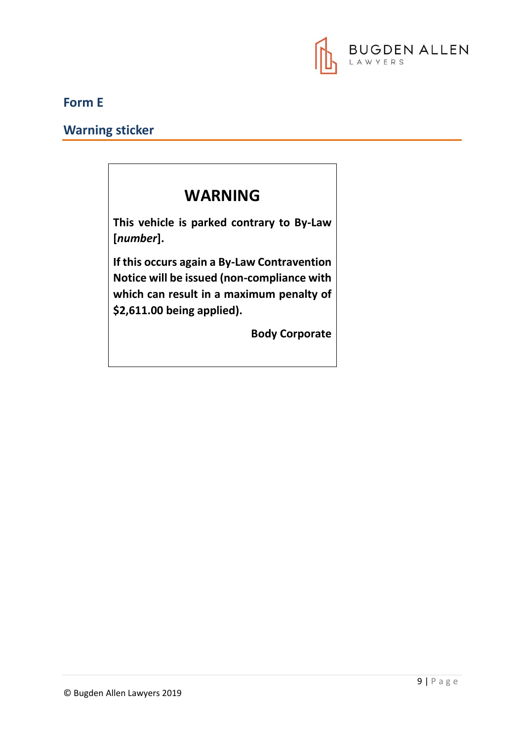

### **Form E**

**Warning sticker**

# **WARNING**

**This vehicle is parked contrary to By-Law [***number***].**

**If this occurs again a By-Law Contravention Notice will be issued (non-compliance with which can result in a maximum penalty of \$2,611.00 being applied).**

**Body Corporate**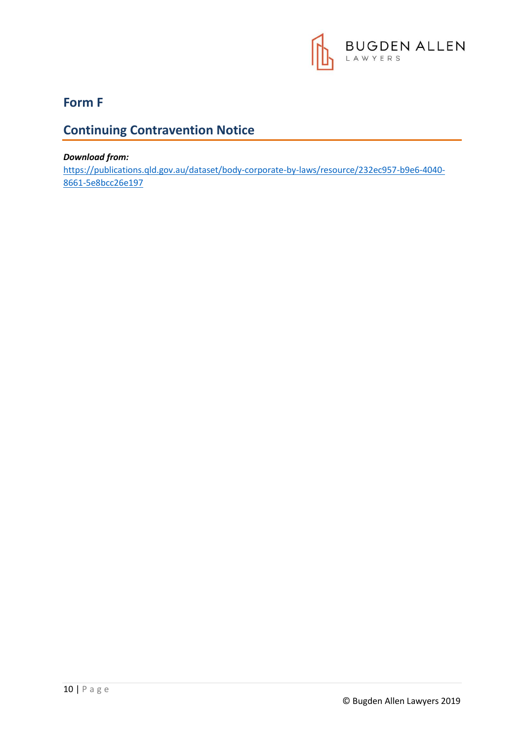

### **Form F**

### **Continuing Contravention Notice**

#### *Download from:*

[https://publications.qld.gov.au/dataset/body-corporate-by-laws/resource/232ec957-b9e6-4040-](https://publications.qld.gov.au/dataset/body-corporate-by-laws/resource/232ec957-b9e6-4040-8661-5e8bcc26e197) [8661-5e8bcc26e197](https://publications.qld.gov.au/dataset/body-corporate-by-laws/resource/232ec957-b9e6-4040-8661-5e8bcc26e197)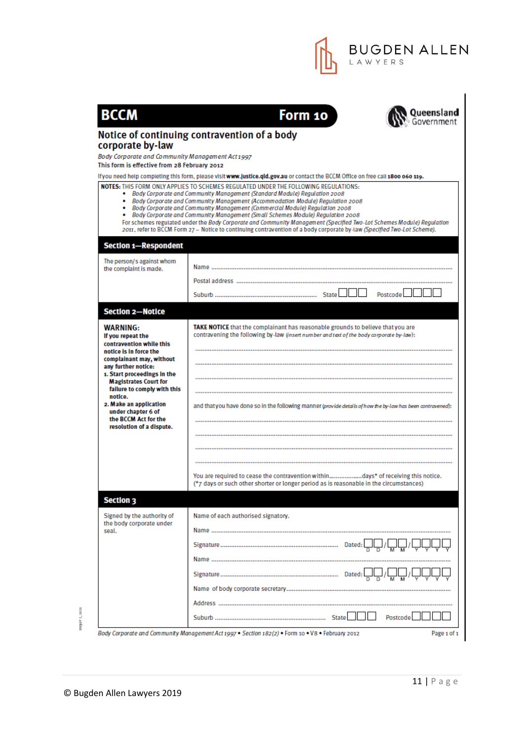

|                                                                                                                                                                                                              | Notice of continuing contravention of a body                                                                                                                                                                                                                                                                                                                                                                                                                                                                                                                                             |
|--------------------------------------------------------------------------------------------------------------------------------------------------------------------------------------------------------------|------------------------------------------------------------------------------------------------------------------------------------------------------------------------------------------------------------------------------------------------------------------------------------------------------------------------------------------------------------------------------------------------------------------------------------------------------------------------------------------------------------------------------------------------------------------------------------------|
| corporate by-law                                                                                                                                                                                             |                                                                                                                                                                                                                                                                                                                                                                                                                                                                                                                                                                                          |
| Body Corporate and Community Management Act 1997                                                                                                                                                             |                                                                                                                                                                                                                                                                                                                                                                                                                                                                                                                                                                                          |
| This form is effective from 28 February 2012                                                                                                                                                                 |                                                                                                                                                                                                                                                                                                                                                                                                                                                                                                                                                                                          |
|                                                                                                                                                                                                              | If you need help completing this form, please visit www.justice.qid.gov.au or contact the BCCM Office on free call 1800 060 119.<br>NOTES: THIS FORM ONLY APPLIES TO SCHEMES REGULATED UNDER THE FOLLOWING REGULATIONS:                                                                                                                                                                                                                                                                                                                                                                  |
|                                                                                                                                                                                                              | • Body Corporate and Community Management (Standard Module) Regulation 2008<br>• Body Corporate and Community Management (Accommodation Module) Regulation 2008<br>• Body Corporate and Community Management (Commercial Module) Requiation 2008<br>• Body Corporate and Community Management (Small Schemes Module) Regulation 2008<br>For schemes regulated under the Body Corporate and Community Management (Specified Two-Lot Schemes Module) Regulation<br>2011, refer to BCCM Form 27 - Notice to continuing contravention of a body corporate by-law (Specified Two-Lot Scheme). |
| <b>Section 1-Respondent</b>                                                                                                                                                                                  |                                                                                                                                                                                                                                                                                                                                                                                                                                                                                                                                                                                          |
| The person/s against whom                                                                                                                                                                                    |                                                                                                                                                                                                                                                                                                                                                                                                                                                                                                                                                                                          |
| the complaint is made.                                                                                                                                                                                       |                                                                                                                                                                                                                                                                                                                                                                                                                                                                                                                                                                                          |
|                                                                                                                                                                                                              |                                                                                                                                                                                                                                                                                                                                                                                                                                                                                                                                                                                          |
|                                                                                                                                                                                                              | Postcode I                                                                                                                                                                                                                                                                                                                                                                                                                                                                                                                                                                               |
| <b>Section 2-Notice</b>                                                                                                                                                                                      |                                                                                                                                                                                                                                                                                                                                                                                                                                                                                                                                                                                          |
| <b>WARNING:</b><br>If you repeat the<br>contravention while this<br>notice is in force the<br>complainant may, without<br>any further notice:<br>1. Start proceedings in the<br><b>Magistrates Court for</b> | TAKE NOTICE that the complainant has reasonable grounds to believe that you are<br>contravening the following by-law (insert number and text of the body corporate by-law):                                                                                                                                                                                                                                                                                                                                                                                                              |
| failure to comply with this<br>notice.<br>2. Make an application<br>under chapter 6 of<br>the BCCM Act for the<br>resolution of a dispute.                                                                   | and that you have done so in the following manner (provide details of how the by-law has been contravened):                                                                                                                                                                                                                                                                                                                                                                                                                                                                              |
|                                                                                                                                                                                                              |                                                                                                                                                                                                                                                                                                                                                                                                                                                                                                                                                                                          |
|                                                                                                                                                                                                              | You are required to cease the contravention withindays* of receiving this notice.<br>(*7 days or such other shorter or longer period as is reasonable in the circumstances)                                                                                                                                                                                                                                                                                                                                                                                                              |
| <b>Section 3</b>                                                                                                                                                                                             |                                                                                                                                                                                                                                                                                                                                                                                                                                                                                                                                                                                          |
| Signed by the authority of<br>the body corporate under<br>seal.                                                                                                                                              | Name of each authorised signatory.                                                                                                                                                                                                                                                                                                                                                                                                                                                                                                                                                       |
|                                                                                                                                                                                                              |                                                                                                                                                                                                                                                                                                                                                                                                                                                                                                                                                                                          |
|                                                                                                                                                                                                              |                                                                                                                                                                                                                                                                                                                                                                                                                                                                                                                                                                                          |
|                                                                                                                                                                                                              |                                                                                                                                                                                                                                                                                                                                                                                                                                                                                                                                                                                          |
|                                                                                                                                                                                                              |                                                                                                                                                                                                                                                                                                                                                                                                                                                                                                                                                                                          |
|                                                                                                                                                                                                              |                                                                                                                                                                                                                                                                                                                                                                                                                                                                                                                                                                                          |
|                                                                                                                                                                                                              |                                                                                                                                                                                                                                                                                                                                                                                                                                                                                                                                                                                          |

00921 1233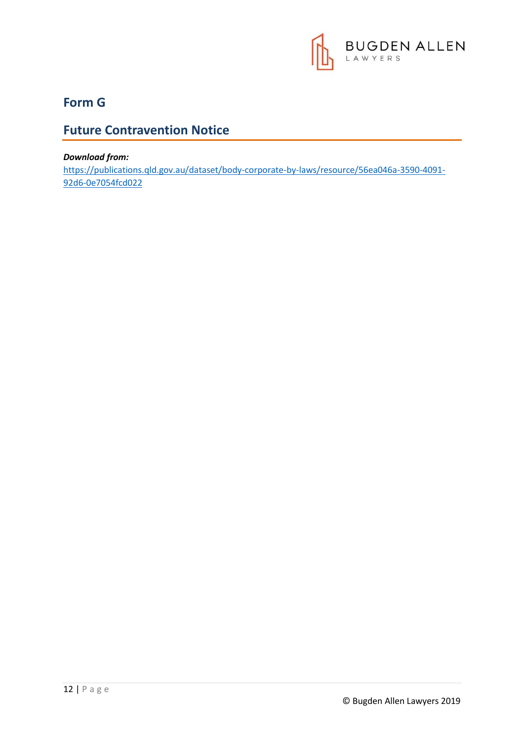

### **Form G**

### **Future Contravention Notice**

#### *Download from:*

[https://publications.qld.gov.au/dataset/body-corporate-by-laws/resource/56ea046a-3590-4091-](https://publications.qld.gov.au/dataset/body-corporate-by-laws/resource/56ea046a-3590-4091-92d6-0e7054fcd022) [92d6-0e7054fcd022](https://publications.qld.gov.au/dataset/body-corporate-by-laws/resource/56ea046a-3590-4091-92d6-0e7054fcd022)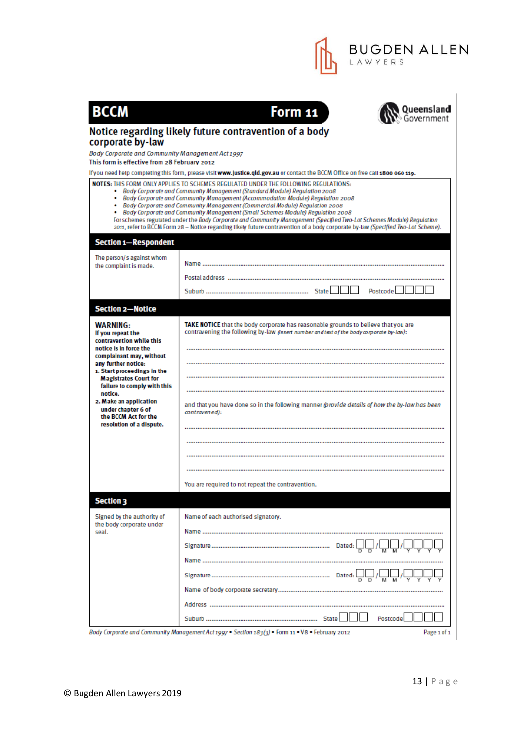

| <b>BCCM</b>                                                                                                                                                                                                                                 | Form 11<br><b>Queensland</b>                                                                                                                                                                                                                                                                                                                                                                                                                                                                                                                                                                                                                                                              |
|---------------------------------------------------------------------------------------------------------------------------------------------------------------------------------------------------------------------------------------------|-------------------------------------------------------------------------------------------------------------------------------------------------------------------------------------------------------------------------------------------------------------------------------------------------------------------------------------------------------------------------------------------------------------------------------------------------------------------------------------------------------------------------------------------------------------------------------------------------------------------------------------------------------------------------------------------|
|                                                                                                                                                                                                                                             | Notice regarding likely future contravention of a body                                                                                                                                                                                                                                                                                                                                                                                                                                                                                                                                                                                                                                    |
| corporate by-law                                                                                                                                                                                                                            |                                                                                                                                                                                                                                                                                                                                                                                                                                                                                                                                                                                                                                                                                           |
| Body Corporate and Community Management Act 1997<br>This form is effective from 28 February 2012                                                                                                                                            |                                                                                                                                                                                                                                                                                                                                                                                                                                                                                                                                                                                                                                                                                           |
|                                                                                                                                                                                                                                             | If you need help completing this form, please visit www.justice.qid.gov.au or contact the BCCM Office on free call 1800 060 119.                                                                                                                                                                                                                                                                                                                                                                                                                                                                                                                                                          |
|                                                                                                                                                                                                                                             | NOTES: THIS FORM ONLY APPLIES TO SCHEMES REGULATED UNDER THE FOLLOWING REGULATIONS:<br>• Body Corporate and Community Management (Standard Module) Regulation 2008<br>• Body Corporate and Community Management (Accommodation Module) Regulation 2008<br>• Body Corporate and Community Management (Commercial Module) Requiation 2008<br>• Body Corporate and Community Management (Small Schemes Module) Regulation 2008<br>For schemes regulated under the Body Corporate and Community Management (Specified Two-Lot Schemes Module) Regulation<br>2011, refer to BCCM Form 28 - Notice regarding likely future contravention of a body corporate by-law (Specified Two-Lot Scheme). |
| <b>Section 1-Respondent</b>                                                                                                                                                                                                                 |                                                                                                                                                                                                                                                                                                                                                                                                                                                                                                                                                                                                                                                                                           |
| The person/s against whom                                                                                                                                                                                                                   |                                                                                                                                                                                                                                                                                                                                                                                                                                                                                                                                                                                                                                                                                           |
| the complaint is made.                                                                                                                                                                                                                      |                                                                                                                                                                                                                                                                                                                                                                                                                                                                                                                                                                                                                                                                                           |
|                                                                                                                                                                                                                                             | Postcode                                                                                                                                                                                                                                                                                                                                                                                                                                                                                                                                                                                                                                                                                  |
|                                                                                                                                                                                                                                             |                                                                                                                                                                                                                                                                                                                                                                                                                                                                                                                                                                                                                                                                                           |
| <b>Section 2-Notice</b>                                                                                                                                                                                                                     |                                                                                                                                                                                                                                                                                                                                                                                                                                                                                                                                                                                                                                                                                           |
| <b>WARNING:</b><br>If you repeat the<br>contravention while this<br>notice is in force the<br>complainant may, without<br>any further notice:<br>1. Start proceedings in the<br><b>Magistrates Court for</b><br>failure to comply with this | TAKE NOTICE that the body corporate has reasonable grounds to believe that you are<br>contravening the following by-law (insert number and text of the body corporate by-law):                                                                                                                                                                                                                                                                                                                                                                                                                                                                                                            |
| notice.<br>2. Make an application<br>under chapter 6 of<br>the BCCM Act for the<br>resolution of a dispute.                                                                                                                                 | and that you have done so in the following manner (provide details of how the by-law has been<br>contravened):                                                                                                                                                                                                                                                                                                                                                                                                                                                                                                                                                                            |
|                                                                                                                                                                                                                                             |                                                                                                                                                                                                                                                                                                                                                                                                                                                                                                                                                                                                                                                                                           |
|                                                                                                                                                                                                                                             | You are required to not repeat the contravention.                                                                                                                                                                                                                                                                                                                                                                                                                                                                                                                                                                                                                                         |
| <b>Section 3</b>                                                                                                                                                                                                                            |                                                                                                                                                                                                                                                                                                                                                                                                                                                                                                                                                                                                                                                                                           |
| Signed by the authority of<br>the body corporate under<br>seal.                                                                                                                                                                             | Name of each authorised signatory.                                                                                                                                                                                                                                                                                                                                                                                                                                                                                                                                                                                                                                                        |
|                                                                                                                                                                                                                                             |                                                                                                                                                                                                                                                                                                                                                                                                                                                                                                                                                                                                                                                                                           |
|                                                                                                                                                                                                                                             |                                                                                                                                                                                                                                                                                                                                                                                                                                                                                                                                                                                                                                                                                           |
|                                                                                                                                                                                                                                             |                                                                                                                                                                                                                                                                                                                                                                                                                                                                                                                                                                                                                                                                                           |
|                                                                                                                                                                                                                                             |                                                                                                                                                                                                                                                                                                                                                                                                                                                                                                                                                                                                                                                                                           |
|                                                                                                                                                                                                                                             |                                                                                                                                                                                                                                                                                                                                                                                                                                                                                                                                                                                                                                                                                           |
|                                                                                                                                                                                                                                             |                                                                                                                                                                                                                                                                                                                                                                                                                                                                                                                                                                                                                                                                                           |
|                                                                                                                                                                                                                                             | Postcode                                                                                                                                                                                                                                                                                                                                                                                                                                                                                                                                                                                                                                                                                  |
|                                                                                                                                                                                                                                             | Body Corporate and Community Management Act 1997 . Section 183(3) . Form 11 . V8 . February 2012<br>Page 1 of 1                                                                                                                                                                                                                                                                                                                                                                                                                                                                                                                                                                           |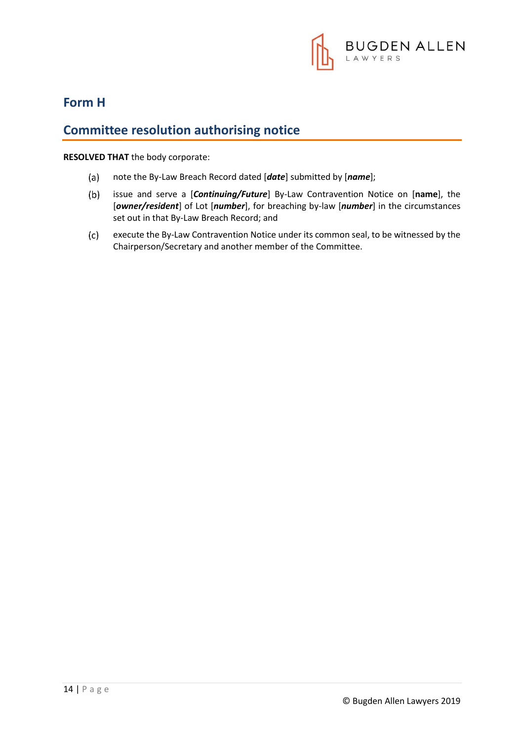

### **Form H**

### **Committee resolution authorising notice**

**RESOLVED THAT** the body corporate:

- $(a)$ note the By-Law Breach Record dated [*date*] submitted by [*name*];
- $(b)$ issue and serve a [*Continuing/Future*] By-Law Contravention Notice on [**name**], the [*owner/resident*] of Lot [*number*], for breaching by-law [*number*] in the circumstances set out in that By-Law Breach Record; and
- $(c)$ execute the By-Law Contravention Notice under its common seal, to be witnessed by the Chairperson/Secretary and another member of the Committee.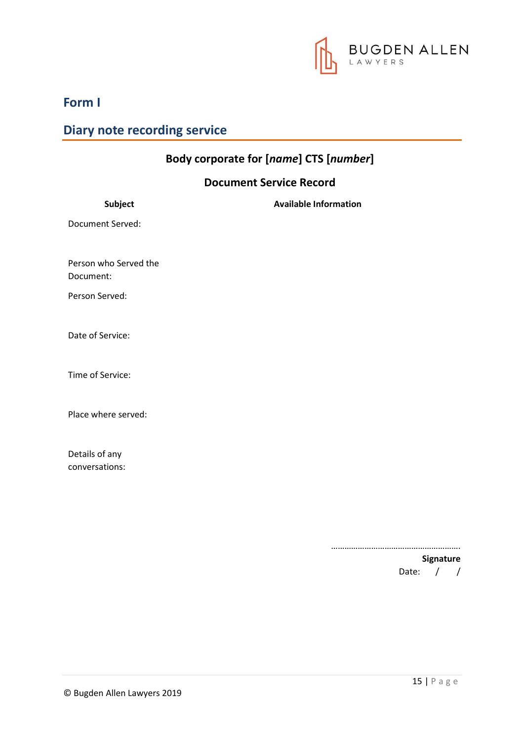

**Form I**

### **Diary note recording service**

# **Body corporate for [***name***] CTS [***number***]**

### **Document Service Record**

………………………………………………….

**Signature** Date: / /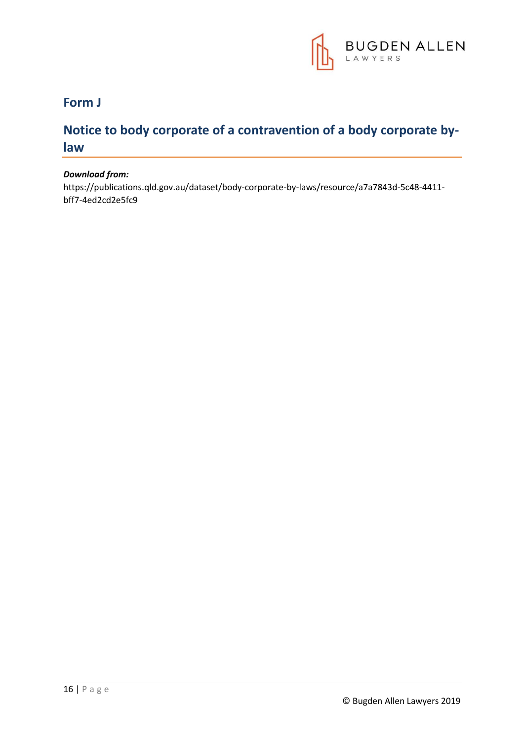

### **Form J**

### **Notice to body corporate of a contravention of a body corporate bylaw**

#### *Download from:*

https://publications.qld.gov.au/dataset/body-corporate-by-laws/resource/a7a7843d-5c48-4411 bff7-4ed2cd2e5fc9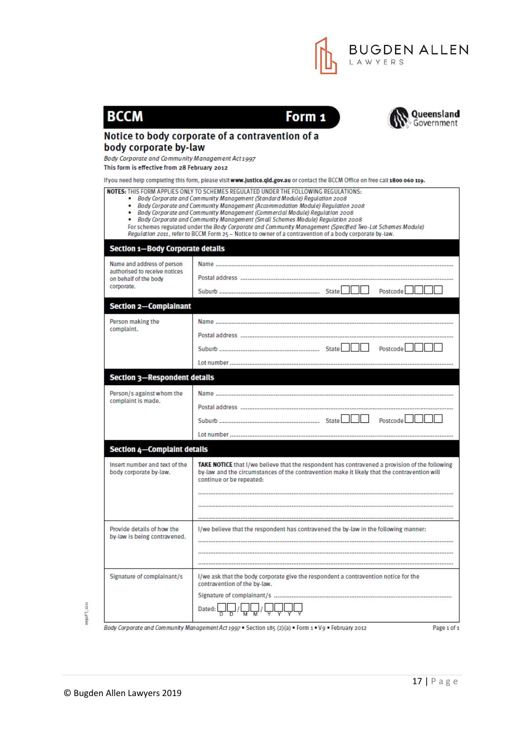

| <b>BCCM</b>                                                | <b>Queensla</b><br>Governme<br>Form 1<br>Notice to body corporate of a contravention of a                                                                                                                                                                                                                                                                                                                                                                                                                                                                     |
|------------------------------------------------------------|---------------------------------------------------------------------------------------------------------------------------------------------------------------------------------------------------------------------------------------------------------------------------------------------------------------------------------------------------------------------------------------------------------------------------------------------------------------------------------------------------------------------------------------------------------------|
| body corporate by-law                                      |                                                                                                                                                                                                                                                                                                                                                                                                                                                                                                                                                               |
| Body Corporate and Community Management Act 1997           |                                                                                                                                                                                                                                                                                                                                                                                                                                                                                                                                                               |
| This form is effective from 28 February 2012               | If you need help completing this form, please visit www.justice.qid.gov.au or contact the BCCM Office on free call 1800 060 119.                                                                                                                                                                                                                                                                                                                                                                                                                              |
|                                                            | <b>NOTES:</b> THIS FORM APPLIES ONLY TO SCHEMES REGULATED UNDER THE FOLLOWING REGULATIONS:                                                                                                                                                                                                                                                                                                                                                                                                                                                                    |
|                                                            | • Body Corporate and Community Management (Standard Module) Regulation 2008<br>• Body Corporate and Community Management (Accommodation Module) Regulation 2008<br>• Body Corporate and Community Management (Commercial Module) Requiation 2008<br>• Body Corporate and Community Management (Small Schemes Module) Regulation 2008<br>For schemes regulated under the Body Corporate and Community Management (Specified Two-Lot Schemes Module)<br>Regulation 2011, refer to BCCM Form 25 – Notice to owner of a contravention of a body corporate by-law. |
| <b>Section 1-Body Corporate details</b>                    |                                                                                                                                                                                                                                                                                                                                                                                                                                                                                                                                                               |
| Name and address of person                                 |                                                                                                                                                                                                                                                                                                                                                                                                                                                                                                                                                               |
| authorised to receive notices<br>on behalf of the body     |                                                                                                                                                                                                                                                                                                                                                                                                                                                                                                                                                               |
| corporate.                                                 | Postcode II                                                                                                                                                                                                                                                                                                                                                                                                                                                                                                                                                   |
| <b>Section 2-Complainant</b>                               |                                                                                                                                                                                                                                                                                                                                                                                                                                                                                                                                                               |
| Person making the                                          |                                                                                                                                                                                                                                                                                                                                                                                                                                                                                                                                                               |
| complaint.                                                 |                                                                                                                                                                                                                                                                                                                                                                                                                                                                                                                                                               |
|                                                            | Postcode                                                                                                                                                                                                                                                                                                                                                                                                                                                                                                                                                      |
|                                                            |                                                                                                                                                                                                                                                                                                                                                                                                                                                                                                                                                               |
| <b>Section 3-Respondent details</b>                        |                                                                                                                                                                                                                                                                                                                                                                                                                                                                                                                                                               |
| Person/s against whom the                                  |                                                                                                                                                                                                                                                                                                                                                                                                                                                                                                                                                               |
| complaint is made.                                         |                                                                                                                                                                                                                                                                                                                                                                                                                                                                                                                                                               |
|                                                            | Postcode                                                                                                                                                                                                                                                                                                                                                                                                                                                                                                                                                      |
|                                                            |                                                                                                                                                                                                                                                                                                                                                                                                                                                                                                                                                               |
| <b>Section 4-Complaint details</b>                         |                                                                                                                                                                                                                                                                                                                                                                                                                                                                                                                                                               |
| Insert number and text of the<br>body corporate by-law.    | TAKE NOTICE that I/we believe that the respondent has contravened a provision of the following<br>by-law and the circumstances of the contravention make it likely that the contravention will<br>continue or be repeated:                                                                                                                                                                                                                                                                                                                                    |
|                                                            |                                                                                                                                                                                                                                                                                                                                                                                                                                                                                                                                                               |
| Provide details of how the<br>by-law is being contravened. | l/we believe that the respondent has contravened the by-law in the following manner:                                                                                                                                                                                                                                                                                                                                                                                                                                                                          |
|                                                            |                                                                                                                                                                                                                                                                                                                                                                                                                                                                                                                                                               |
| Signature of complainant/s                                 | I/we ask that the body corporate give the respondent a contravention notice for the<br>contravention of the by-law.                                                                                                                                                                                                                                                                                                                                                                                                                                           |
|                                                            |                                                                                                                                                                                                                                                                                                                                                                                                                                                                                                                                                               |
|                                                            | Dated:                                                                                                                                                                                                                                                                                                                                                                                                                                                                                                                                                        |

0092FT\_1211